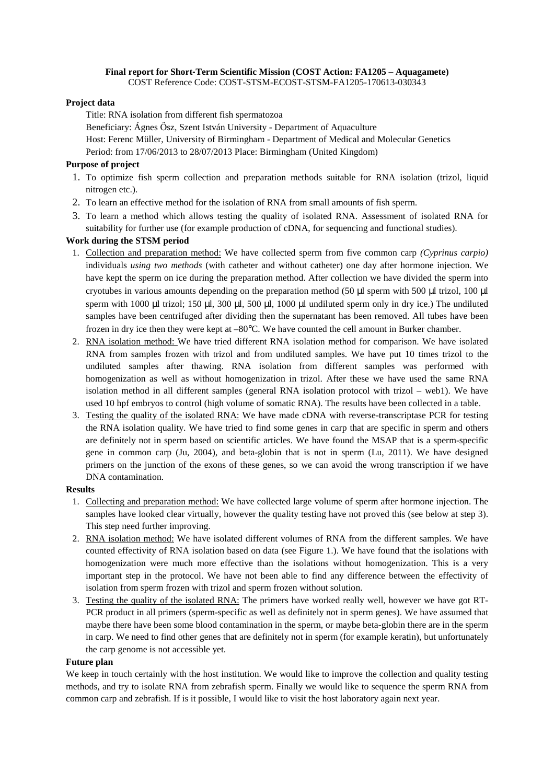## **Final report for Short**‐**Term Scientific Mission (COST Action: FA1205 – Aquagamete)**

COST Reference Code: COST-STSM-ECOST-STSM-FA1205-170613-030343

## **Project data**

Title: RNA isolation from different fish spermatozoa

Beneficiary: Ágnes Ősz, Szent István University - Department of Aquaculture Host: Ferenc Müller, University of Birmingham - Department of Medical and Molecular Genetics Period: from 17/06/2013 to 28/07/2013 Place: Birmingham (United Kingdom)

# **Purpose of project**

- 1. To optimize fish sperm collection and preparation methods suitable for RNA isolation (trizol, liquid nitrogen etc.).
- 2. To learn an effective method for the isolation of RNA from small amounts of fish sperm.
- 3. To learn a method which allows testing the quality of isolated RNA. Assessment of isolated RNA for suitability for further use (for example production of cDNA, for sequencing and functional studies).

# **Work during the STSM period**

- 1. Collection and preparation method: We have collected sperm from five common carp *(Cyprinus carpio)* individuals *using two methods* (with catheter and without catheter) one day after hormone injection. We have kept the sperm on ice during the preparation method. After collection we have divided the sperm into cryotubes in various amounts depending on the preparation method (50 µl sperm with 500 µl trizol, 100 µl sperm with 1000 µl trizol; 150 µl, 300 µl, 500 µl, 1000 µl undiluted sperm only in dry ice.) The undiluted samples have been centrifuged after dividing then the supernatant has been removed. All tubes have been frozen in dry ice then they were kept at –80°C. We have counted the cell amount in Burker chamber.
- 2. RNA isolation method: We have tried different RNA isolation method for comparison. We have isolated RNA from samples frozen with trizol and from undiluted samples. We have put 10 times trizol to the undiluted samples after thawing. RNA isolation from different samples was performed with homogenization as well as without homogenization in trizol. After these we have used the same RNA isolation method in all different samples (general RNA isolation protocol with trizol – web1). We have used 10 hpf embryos to control (high volume of somatic RNA). The results have been collected in a table.
- 3. Testing the quality of the isolated RNA: We have made cDNA with reverse-transcriptase PCR for testing the RNA isolation quality. We have tried to find some genes in carp that are specific in sperm and others are definitely not in sperm based on scientific articles. We have found the MSAP that is a sperm-specific gene in common carp (Ju, 2004), and beta-globin that is not in sperm (Lu, 2011). We have designed primers on the junction of the exons of these genes, so we can avoid the wrong transcription if we have DNA contamination.

### **Results**

- 1. Collecting and preparation method: We have collected large volume of sperm after hormone injection. The samples have looked clear virtually, however the quality testing have not proved this (see below at step 3). This step need further improving.
- 2. RNA isolation method: We have isolated different volumes of RNA from the different samples. We have counted effectivity of RNA isolation based on data (see Figure 1.). We have found that the isolations with homogenization were much more effective than the isolations without homogenization. This is a very important step in the protocol. We have not been able to find any difference between the effectivity of isolation from sperm frozen with trizol and sperm frozen without solution.
- 3. Testing the quality of the isolated RNA: The primers have worked really well, however we have got RT-PCR product in all primers (sperm-specific as well as definitely not in sperm genes). We have assumed that maybe there have been some blood contamination in the sperm, or maybe beta-globin there are in the sperm in carp. We need to find other genes that are definitely not in sperm (for example keratin), but unfortunately the carp genome is not accessible yet.

### **Future plan**

We keep in touch certainly with the host institution. We would like to improve the collection and quality testing methods, and try to isolate RNA from zebrafish sperm. Finally we would like to sequence the sperm RNA from common carp and zebrafish. If is it possible, I would like to visit the host laboratory again next year.